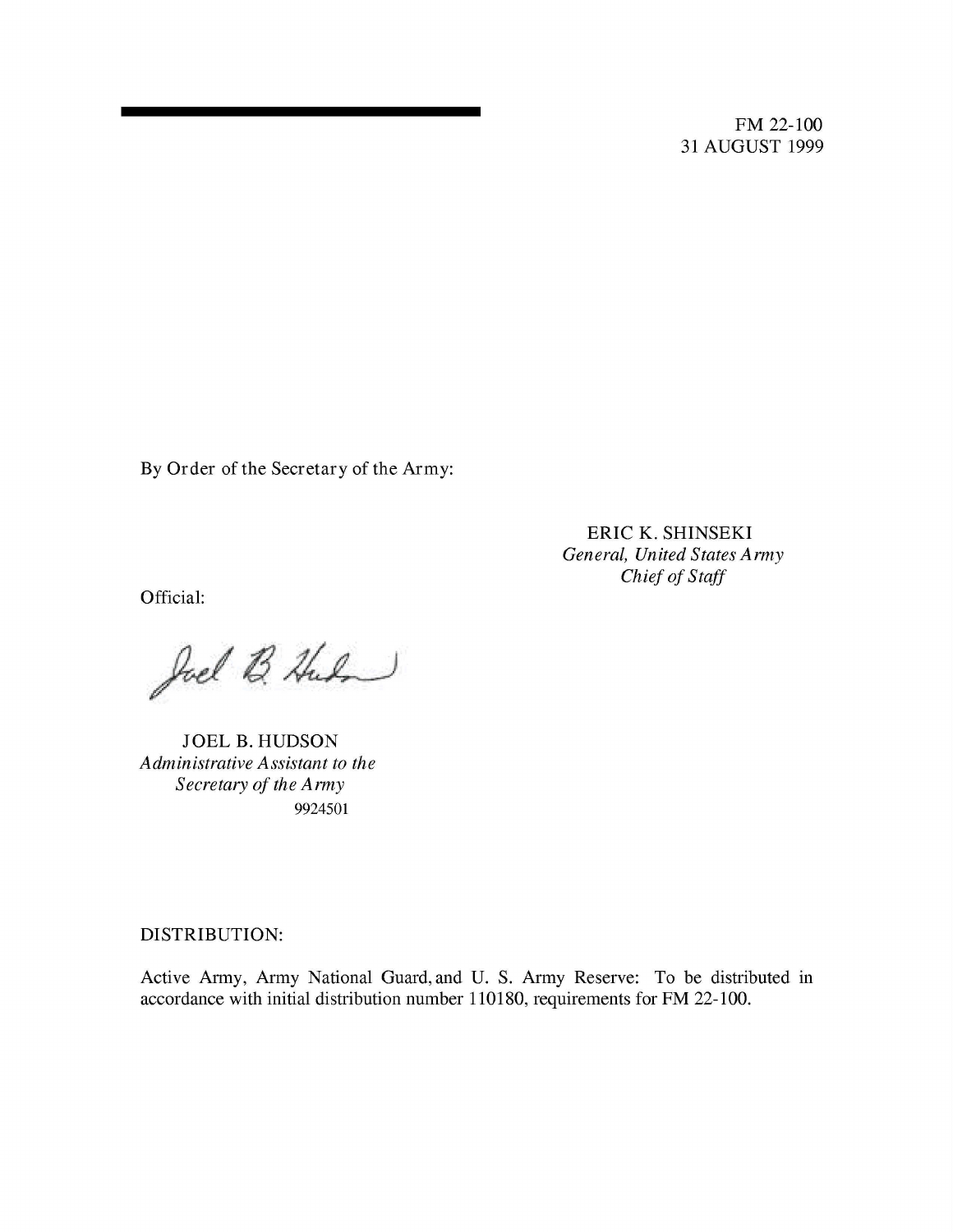FM 22-100 31 AUGUST 1999

By Order of the Secretary of the Army:

ERIC K. SHINSEKI *General, United States Army Chief of Staff*

Official:

# *(j \$JL-)*

JOEL B. HUDSON *Administrative Assistant to the Secretary of the Army* 9924501

DISTRIBUTION:

Active Army, Army National Guard, and U. S. Army Reserve: To be distributed in accordance with initial distribution number 110180, requirements for FM 22-100.